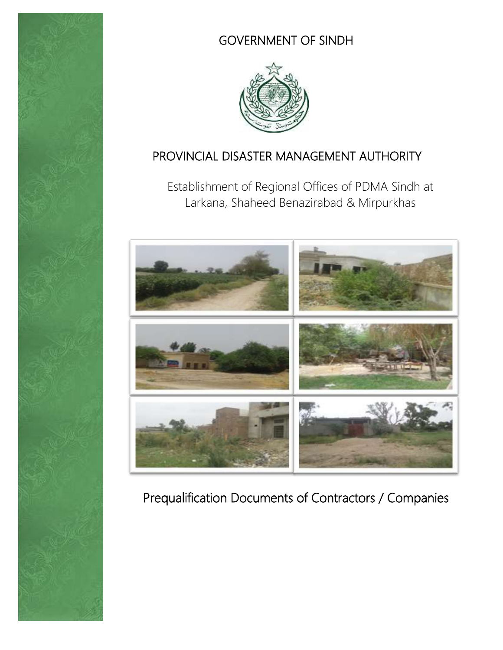

# GOVERNMENT OF SINDH



## PROVINCIAL DISASTER MANAGEMENT AUTHORITY

Establishment of Regional Offices of PDMA Sindh at Larkana, Shaheed Benazirabad & Mirpurkhas



# Prequalification Documents of Contractors / Companies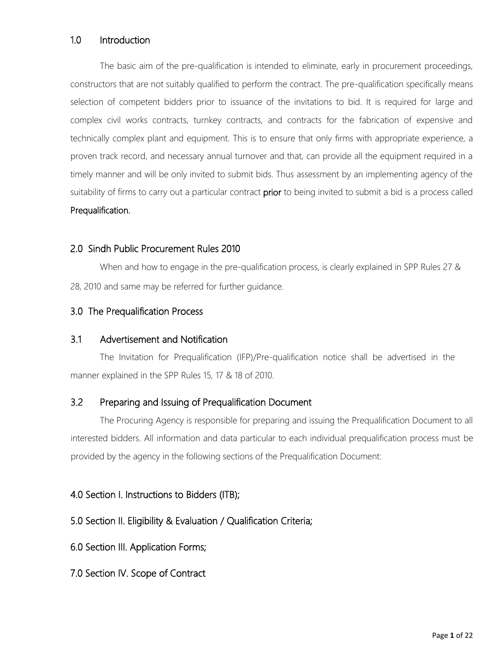#### 1.0 Introduction

The basic aim of the pre-qualification is intended to eliminate, early in procurement proceedings, constructors that are not suitably qualified to perform the contract. The pre-qualification specifically means selection of competent bidders prior to issuance of the invitations to bid. It is required for large and complex civil works contracts, turnkey contracts, and contracts for the fabrication of expensive and technically complex plant and equipment. This is to ensure that only firms with appropriate experience, a proven track record, and necessary annual turnover and that, can provide all the equipment required in a timely manner and will be only invited to submit bids. Thus assessment by an implementing agency of the suitability of firms to carry out a particular contract **prior** to being invited to submit a bid is a process called Prequalification.

#### 2.0 Sindh Public Procurement Rules 2010

When and how to engage in the pre-qualification process, is clearly explained in SPP Rules 27 & 28, 2010 and same may be referred for further guidance.

#### 3.0 The Prequalification Process

#### 3.1 Advertisement and Notification

The Invitation for Prequalification (IFP)/Pre-qualification notice shall be advertised in the manner explained in the SPP Rules 15, 17 & 18 of 2010.

#### 3.2 Preparing and Issuing of Prequalification Document

The Procuring Agency is responsible for preparing and issuing the Prequalification Document to all interested bidders. All information and data particular to each individual prequalification process must be provided by the agency in the following sections of the Prequalification Document:

#### 4.0 Section I. Instructions to Bidders (ITB);

#### 5.0 Section II. Eligibility & Evaluation / Qualification Criteria;

6.0 Section III. Application Forms;

7.0 Section IV. Scope of Contract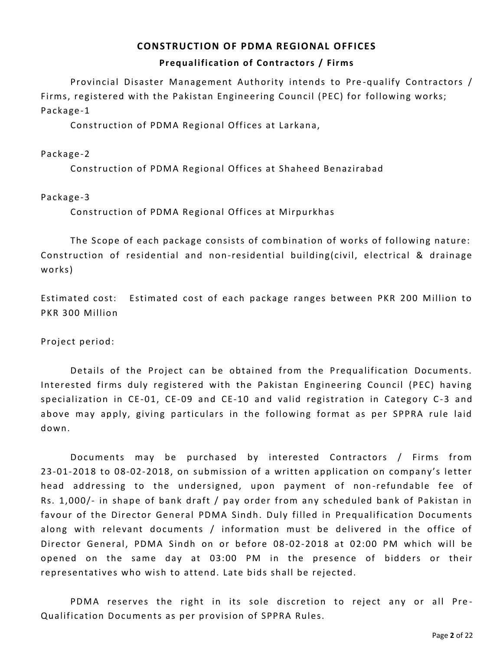## **CONSTRUCTION OF PDMA REGIONAL OFFICES Prequalification of Contractors / Firms**

Provincial Disaster Management Authority intends to Pre -qualify Contractors / Firms, registered with the Pakistan Engineering Council (PEC) for following works; Package-1

Construction of PDMA Regional Offices at Larkana,

#### Package-2

Construction of PDMA Regional Offices at Shaheed Benazirabad

#### Package-3

Construction of PDMA Regional Offices at Mirpurkhas

The Scope of each package consists of combination of works of following nature: Construction of residential and non-residential building(civil, electrical & drainage works)

Estimated cost: Estimated cost of each package ranges between PKR 200 Million to PKR 300 Million

Project period:

Details of the Project can be obtained from the Prequalification Documents. Interested firms duly registered with the Pakistan Engineering Council (PEC) having specialization in CE-01, CE-09 and CE-10 and valid registration in Category C-3 and above may apply, giving particulars in the following format as per SPPRA rule laid down.

Documents may be purchased by interested Contractors / Firms from 23-01-2018 to 08-02-2018, on submission of a written application on company's letter head addressing to the undersigned, upon payment of non-refundable fee of Rs. 1,000/- in shape of bank draft / pay order from any scheduled bank of Pakistan in favour of the Director General PDMA Sindh. Duly filled in Prequalification Documents along with relevant documents / information must be delivered in the office of Director General, PDMA Sindh on or before 08-02-2018 at 02:00 PM which will be opened on the same day at 03:00 PM in the presence of bidders or their representatives who wish to attend. Late bids shall be rejected.

PDMA reserves the right in its sole discretion to reject any or all Pre-Qualification Documents as per provision of SPPRA Rules.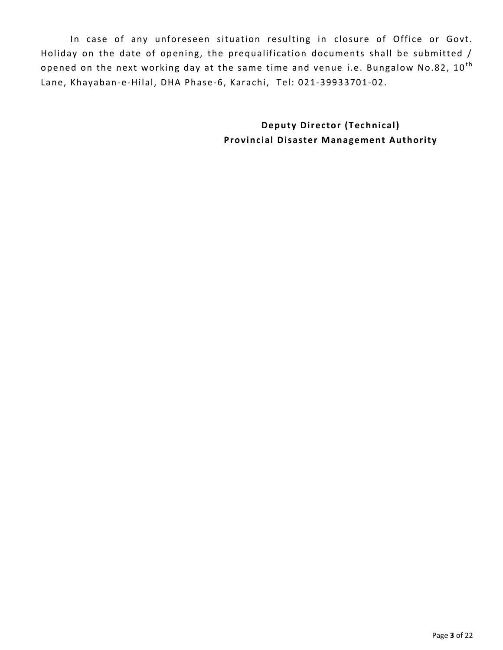In case of any unforeseen situation resulting in closure of Office or Govt. Holiday on the date of opening, the prequalification documents shall be submitted / opened on the next working day at the same time and venue i.e. Bungalow No.82,  $10^{\text{th}}$ Lane, Khayaban-e-Hilal, DHA Phase-6, Karachi, Tel: 021-39933701-02.

> **Deputy Director (Technical) Provincial Disaster Management Authority**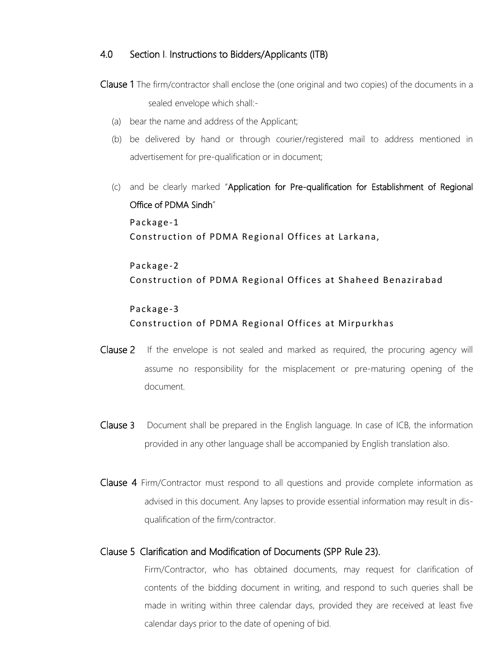#### 4.0 Section I. Instructions to Bidders/Applicants (ITB)

- Clause 1 The firm/contractor shall enclose the (one original and two copies) of the documents in a sealed envelope which shall:-
	- (a) bear the name and address of the Applicant;
	- (b) be delivered by hand or through courier/registered mail to address mentioned in advertisement for pre-qualification or in document;
	- (c) and be clearly marked "Application for Pre-qualification for Establishment of Regional Office of PDMA Sindh" Package-1 Construction of PDMA Regional Offices at Larkana,

Package-2 Construction of PDMA Regional Offices at Shaheed Benazirabad

## Package-3 Construction of PDMA Regional Offices at Mirpurkhas

- Clause 2 If the envelope is not sealed and marked as required, the procuring agency will assume no responsibility for the misplacement or pre-maturing opening of the document.
- Clause 3 Document shall be prepared in the English language. In case of ICB, the information provided in any other language shall be accompanied by English translation also.
- Clause 4 Firm/Contractor must respond to all questions and provide complete information as advised in this document. Any lapses to provide essential information may result in disqualification of the firm/contractor.

#### Clause 5 Clarification and Modification of Documents (SPP Rule 23).

Firm/Contractor, who has obtained documents, may request for clarification of contents of the bidding document in writing, and respond to such queries shall be made in writing within three calendar days, provided they are received at least five calendar days prior to the date of opening of bid.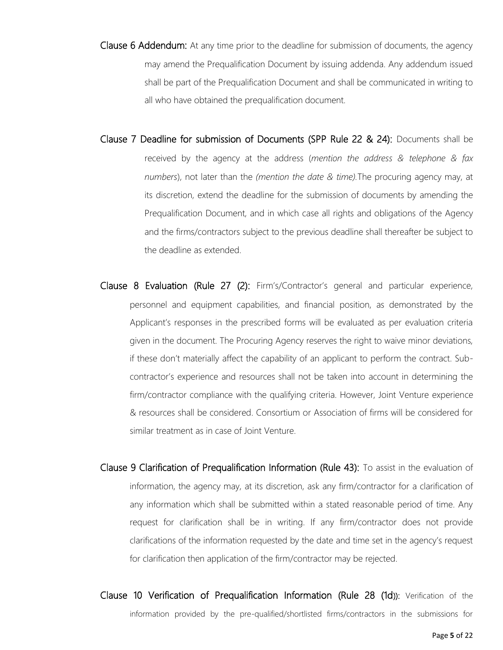- Clause 6 Addendum: At any time prior to the deadline for submission of documents, the agency may amend the Prequalification Document by issuing addenda. Any addendum issued shall be part of the Prequalification Document and shall be communicated in writing to all who have obtained the prequalification document.
- Clause 7 Deadline for submission of Documents (SPP Rule 22 & 24): Documents shall be received by the agency at the address (*mention the address & telephone & fax numbers*), not later than the *(mention the date & time).*The procuring agency may, at its discretion, extend the deadline for the submission of documents by amending the Prequalification Document, and in which case all rights and obligations of the Agency and the firms/contractors subject to the previous deadline shall thereafter be subject to the deadline as extended.
- Clause 8 Evaluation (Rule 27 (2): Firm's/Contractor's general and particular experience, personnel and equipment capabilities, and financial position, as demonstrated by the Applicant's responses in the prescribed forms will be evaluated as per evaluation criteria given in the document. The Procuring Agency reserves the right to waive minor deviations, if these don't materially affect the capability of an applicant to perform the contract. Subcontractor's experience and resources shall not be taken into account in determining the firm/contractor compliance with the qualifying criteria. However, Joint Venture experience & resources shall be considered. Consortium or Association of firms will be considered for similar treatment as in case of Joint Venture.
- Clause 9 Clarification of Prequalification Information (Rule 43): To assist in the evaluation of information, the agency may, at its discretion, ask any firm/contractor for a clarification of any information which shall be submitted within a stated reasonable period of time. Any request for clarification shall be in writing. If any firm/contractor does not provide clarifications of the information requested by the date and time set in the agency's request for clarification then application of the firm/contractor may be rejected.
- Clause 10 Verification of Prequalification Information (Rule 28 (1d)): Verification of the information provided by the pre-qualified/shortlisted firms/contractors in the submissions for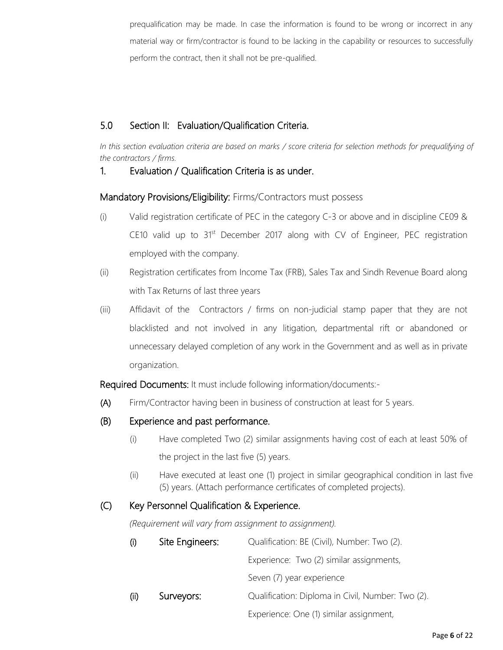prequalification may be made. In case the information is found to be wrong or incorrect in any material way or firm/contractor is found to be lacking in the capability or resources to successfully perform the contract, then it shall not be pre-qualified.

#### 5.0 Section II: Evaluation/Qualification Criteria.

*In this section evaluation criteria are based on marks / score criteria for selection methods for prequalifying of the contractors / firms.*

#### 1. Evaluation / Qualification Criteria is as under.

Mandatory Provisions/Eligibility: Firms/Contractors must possess

- (i) Valid registration certificate of PEC in the category C-3 or above and in discipline CE09 & CE10 valid up to 31<sup>st</sup> December 2017 along with CV of Engineer, PEC registration employed with the company.
- (ii) Registration certificates from Income Tax (FRB), Sales Tax and Sindh Revenue Board along with Tax Returns of last three years
- (iii) Affidavit of the Contractors / firms on non-judicial stamp paper that they are not blacklisted and not involved in any litigation, departmental rift or abandoned or unnecessary delayed completion of any work in the Government and as well as in private organization.

Required Documents: It must include following information/documents:-

- (A) Firm/Contractor having been in business of construction at least for 5 years.
- (B) Experience and past performance.
	- (i) Have completed Two (2) similar assignments having cost of each at least 50% of the project in the last five (5) years.
	- (ii) Have executed at least one (1) project in similar geographical condition in last five (5) years. (Attach performance certificates of completed projects).

#### (C) Key Personnel Qualification & Experience.

*(Requirement will vary from assignment to assignment).*

| (i)  | Site Engineers: | Qualification: BE (Civil), Number: Two (2).       |
|------|-----------------|---------------------------------------------------|
|      |                 | Experience: Two (2) similar assignments,          |
|      |                 | Seven (7) year experience                         |
| (ii) | Surveyors:      | Qualification: Diploma in Civil, Number: Two (2). |
|      |                 | Experience: One (1) similar assignment,           |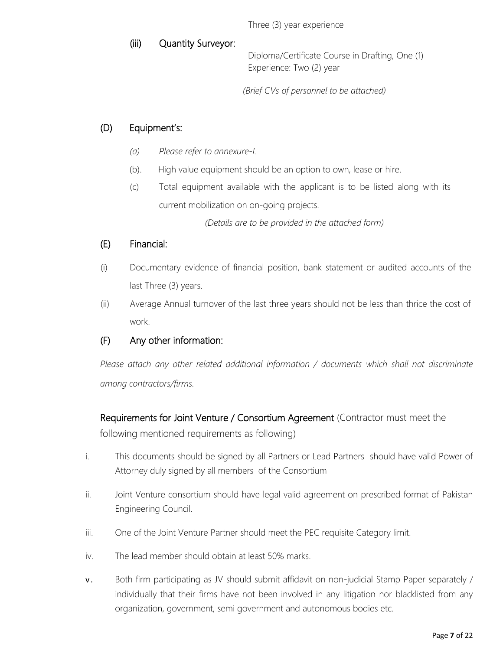Three (3) year experience

#### (iii) Quantity Surveyor:

Diploma/Certificate Course in Drafting, One (1) Experience: Two (2) year

*(Brief CVs of personnel to be attached)*

#### (D) Equipment's:

- *(a) Please refer to annexure-I.*
- (b). High value equipment should be an option to own, lease or hire.
- (c) Total equipment available with the applicant is to be listed along with its current mobilization on on-going projects.

*(Details are to be provided in the attached form)*

#### (E) Financial:

- (i) Documentary evidence of financial position, bank statement or audited accounts of the last Three (3) years.
- (ii) Average Annual turnover of the last three years should not be less than thrice the cost of work.

#### (F) Any other information:

*Please attach any other related additional information / documents which shall not discriminate among contractors/firms.*

Requirements for Joint Venture / Consortium Agreement (Contractor must meet the following mentioned requirements as following)

- i. This documents should be signed by all Partners or Lead Partners should have valid Power of Attorney duly signed by all members of the Consortium
- ii. Joint Venture consortium should have legal valid agreement on prescribed format of Pakistan Engineering Council.
- iii. One of the Joint Venture Partner should meet the PEC requisite Category limit.
- iv. The lead member should obtain at least 50% marks.
- v. Both firm participating as JV should submit affidavit on non-judicial Stamp Paper separately / individually that their firms have not been involved in any litigation nor blacklisted from any organization, government, semi government and autonomous bodies etc.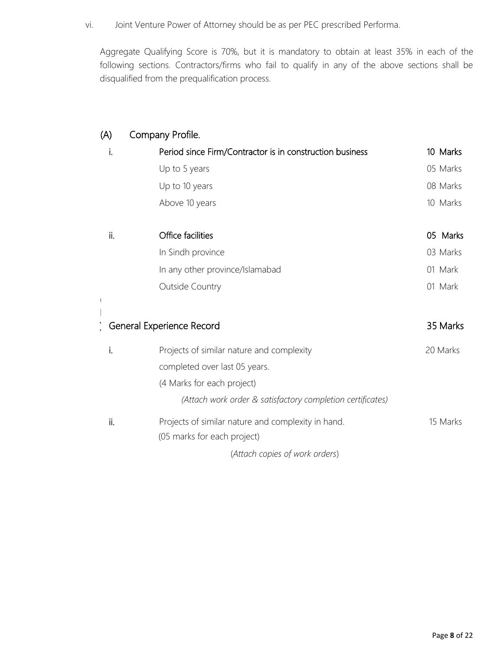vi. Joint Venture Power of Attorney should be as per PEC prescribed Performa.

Aggregate Qualifying Score is 70%, but it is mandatory to obtain at least 35% in each of the following sections. Contractors/firms who fail to qualify in any of the above sections shall be disqualified from the prequalification process.

| (A) | Company Profile.                                           |          |
|-----|------------------------------------------------------------|----------|
| i.  | Period since Firm/Contractor is in construction business   | 10 Marks |
|     | Up to 5 years                                              | 05 Marks |
|     | Up to 10 years                                             | 08 Marks |
|     | Above 10 years                                             | 10 Marks |
| ii. | Office facilities                                          | 05 Marks |
|     | In Sindh province                                          | 03 Marks |
|     | In any other province/Islamabad                            | 01 Mark  |
|     | <b>Outside Country</b>                                     | 01 Mark  |
|     |                                                            |          |
|     | General Experience Record                                  | 35 Marks |
| i.  | Projects of similar nature and complexity                  | 20 Marks |
|     | completed over last 05 years.                              |          |
|     | (4 Marks for each project)                                 |          |
|     | (Attach work order & satisfactory completion certificates) |          |
| ii. | Projects of similar nature and complexity in hand.         | 15 Marks |
|     | (05 marks for each project)                                |          |
|     | (Attach copies of work orders)                             |          |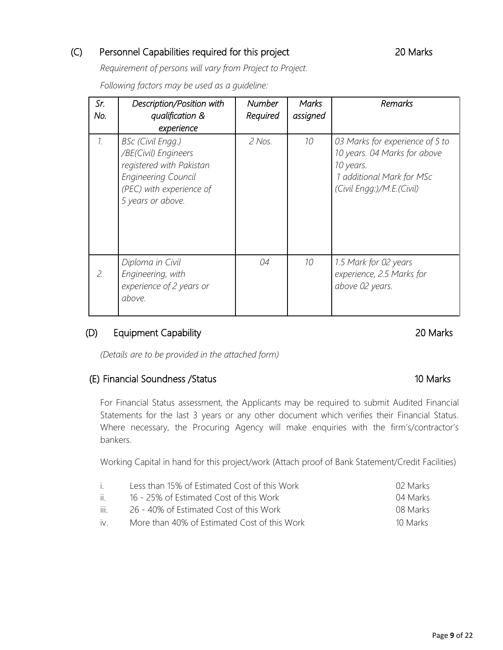#### (C) Personnel Capabilities required for this project 20 Marks

*Requirement of persons will vary from Project to Project.*

*Following factors may be used as a guideline:*

| Sr.<br>No.      | Description/Position with<br>qualification &<br>experience                                                                                           | <b>Number</b><br>Required | <b>Marks</b><br>assigned | Remarks                                                                                                                                |
|-----------------|------------------------------------------------------------------------------------------------------------------------------------------------------|---------------------------|--------------------------|----------------------------------------------------------------------------------------------------------------------------------------|
| $\mathcal{I}$ . | BSc (Civil Engg.)<br>/BE(Civil) Engineers<br>registered with Pakistan<br><b>Engineering Council</b><br>(PEC) with experience of<br>5 years or above. | 2 Nos.                    | 10                       | 03 Marks for experience of 5 to<br>10 years. 04 Marks for above<br>10 years.<br>1 additional Mark for MSc<br>(Civil Engg:)/M.E.(Civil) |
| 2.              | Diploma in Civil<br>Engineering, with<br>experience of 2 years or<br>above.                                                                          | 04                        | 10                       | 1.5 Mark for 02 years<br>experience, 2.5 Marks for<br>above 02 years.                                                                  |

#### (D) Equipment Capability 20 Marks

*(Details are to be provided in the attached form)*

#### (E) Financial Soundness /Status 10 Marks

For Financial Status assessment, the Applicants may be required to submit Audited Financial Statements for the last 3 years or any other document which verifies their Financial Status. Where necessary, the Procuring Agency will make enquiries with the firm's/contractor's bankers.

Working Capital in hand for this project/work (Attach proof of Bank Statement/Credit Facilities)

| $\mathbf{1}$ | Less than 15% of Estimated Cost of this Work | 02 Marks |
|--------------|----------------------------------------------|----------|
| ii -         | 16 - 25% of Estimated Cost of this Work      | 04 Marks |
| iii.         | 26 - 40% of Estimated Cost of this Work      | 08 Marks |
| iv           | More than 40% of Estimated Cost of this Work | 10 Marks |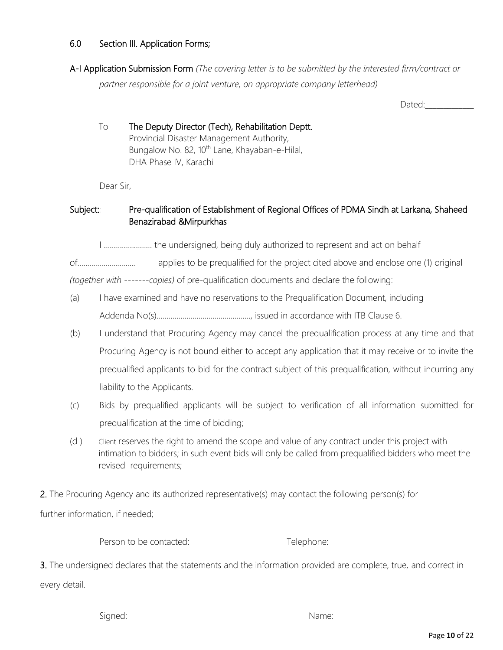#### 6.0 Section III. Application Forms;

A-I Application Submission Form *(The covering letter is to be submitted by the interested firm/contract or partner responsible for a joint venture, on appropriate company letterhead)*

Dated:

#### To The Deputy Director (Tech), Rehabilitation Deptt. Provincial Disaster Management Authority, Bungalow No. 82, 10<sup>th</sup> Lane, Khayaban-e-Hilal, DHA Phase IV, Karachi

Dear Sir,

#### Subject:: Pre-qualification of Establishment of Regional Offices of PDMA Sindh at Larkana, Shaheed Benazirabad &Mirpurkhas

I …………………… the undersigned, being duly authorized to represent and act on behalf

of............................. applies to be prequalified for the project cited above and enclose one (1) original

*(together with -------copies)* of pre-qualification documents and declare the following:

- (a) I have examined and have no reservations to the Prequalification Document, including Addenda No(s)..............................................., issued in accordance with ITB Clause 6.
- (b) I understand that Procuring Agency may cancel the prequalification process at any time and that Procuring Agency is not bound either to accept any application that it may receive or to invite the prequalified applicants to bid for the contract subject of this prequalification, without incurring any liability to the Applicants.
- (c) Bids by prequalified applicants will be subject to verification of all information submitted for prequalification at the time of bidding;
- (d ) Client reserves the right to amend the scope and value of any contract under this project with intimation to bidders; in such event bids will only be called from prequalified bidders who meet the revised requirements;

2. The Procuring Agency and its authorized representative(s) may contact the following person(s) for further information, if needed;

Person to be contacted: Telephone:

3. The undersigned declares that the statements and the information provided are complete, true, and correct in every detail.

Signed: Name: Name: Name: Name: Name: Name: Name: Name: Name: Name: Name: Name: Name: Name: Name: Name: Name: Name: Name: Name: Name: Name: Name: Name: Name: Name: Name: Name: Name: Name: Name: Name: Name: Name: Name: Name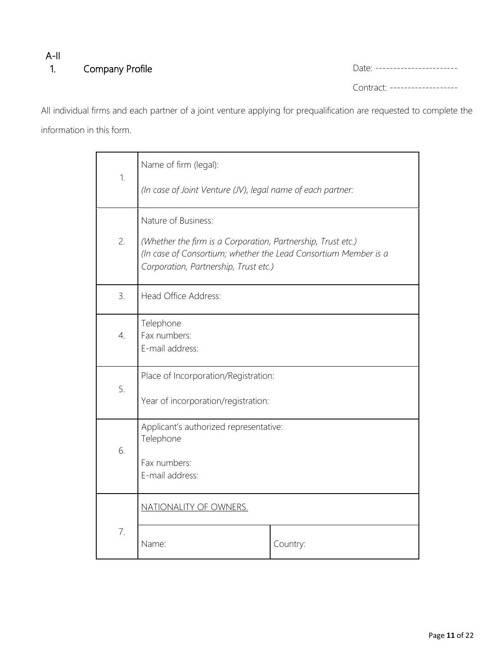## A-II 1. Company Profile Date: -----------------------

Contract: -------------------

All individual firms and each partner of a joint venture applying for prequalification are requested to complete the information in this form.

|                                                                                                                                                                                | Name of firm (legal):                               |          |  |  |  |
|--------------------------------------------------------------------------------------------------------------------------------------------------------------------------------|-----------------------------------------------------|----------|--|--|--|
| 1.<br>(In case of Joint Venture (JV), legal name of each partner:                                                                                                              |                                                     |          |  |  |  |
|                                                                                                                                                                                | Nature of Business:                                 |          |  |  |  |
| 2.<br>(Whether the firm is a Corporation, Partnership, Trust etc.)<br>(In case of Consortium; whether the Lead Consortium Member is a<br>Corporation, Partnership, Trust etc.) |                                                     |          |  |  |  |
| 3.                                                                                                                                                                             | Head Office Address:                                |          |  |  |  |
| $\overline{4}$ .                                                                                                                                                               | Telephone<br>Fax numbers:<br>E-mail address:        |          |  |  |  |
| 5.                                                                                                                                                                             | Place of Incorporation/Registration:                |          |  |  |  |
|                                                                                                                                                                                | Year of incorporation/registration:                 |          |  |  |  |
|                                                                                                                                                                                | Applicant's authorized representative:<br>Telephone |          |  |  |  |
| 6.                                                                                                                                                                             | Fax numbers:<br>E-mail address:                     |          |  |  |  |
|                                                                                                                                                                                | NATIONALITY OF OWNERS.                              |          |  |  |  |
| 7.                                                                                                                                                                             | Name:                                               | Country: |  |  |  |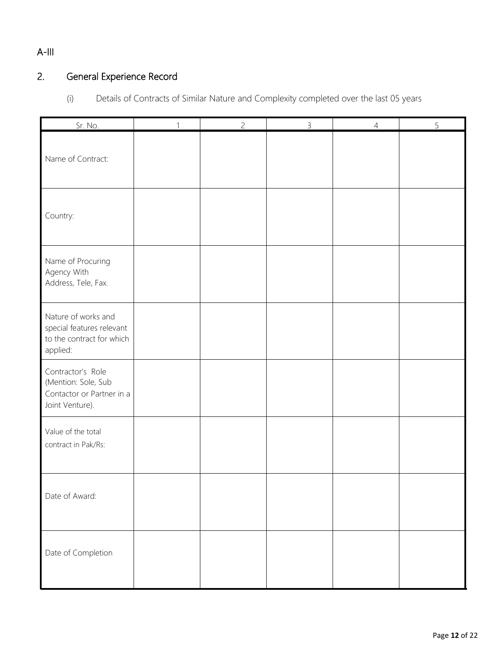## A-III

## 2. General Experience Record

(i) Details of Contracts of Similar Nature and Complexity completed over the last 05 years

| Sr. No.                                                                                   | 1 | $\overline{c}$ | $\mathsf{3}$ | $\overline{4}$ | 5 |
|-------------------------------------------------------------------------------------------|---|----------------|--------------|----------------|---|
| Name of Contract:                                                                         |   |                |              |                |   |
| Country:                                                                                  |   |                |              |                |   |
| Name of Procuring<br>Agency With<br>Address, Tele, Fax.                                   |   |                |              |                |   |
| Nature of works and<br>special features relevant<br>to the contract for which<br>applied: |   |                |              |                |   |
| Contractor's Role<br>(Mention: Sole, Sub<br>Contactor or Partner in a<br>Joint Venture).  |   |                |              |                |   |
| Value of the total<br>contract in Pak/Rs:                                                 |   |                |              |                |   |
| Date of Award:                                                                            |   |                |              |                |   |
| Date of Completion                                                                        |   |                |              |                |   |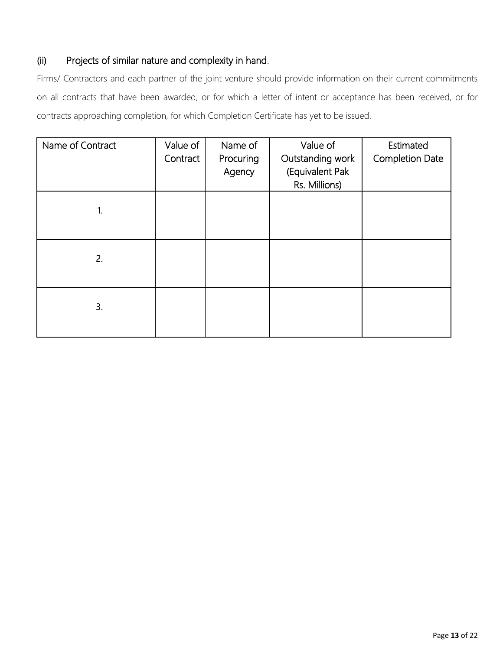#### Projects of similar nature and complexity in hand.  $(ii)$

Firms/ Contractors and each partner of the joint venture should provide information on their current commitments on all contracts that have been awarded, or for which a letter of intent or acceptance has been received, or for contracts approaching completion, for which Completion Certificate has yet to be issued.

| Name of Contract | Value of<br>Contract | Name of<br>Procuring<br>Agency | Value of<br>Outstanding work<br>(Equivalent Pak<br>Rs. Millions) | Estimated<br><b>Completion Date</b> |
|------------------|----------------------|--------------------------------|------------------------------------------------------------------|-------------------------------------|
| 1.               |                      |                                |                                                                  |                                     |
| 2.               |                      |                                |                                                                  |                                     |
| 3.               |                      |                                |                                                                  |                                     |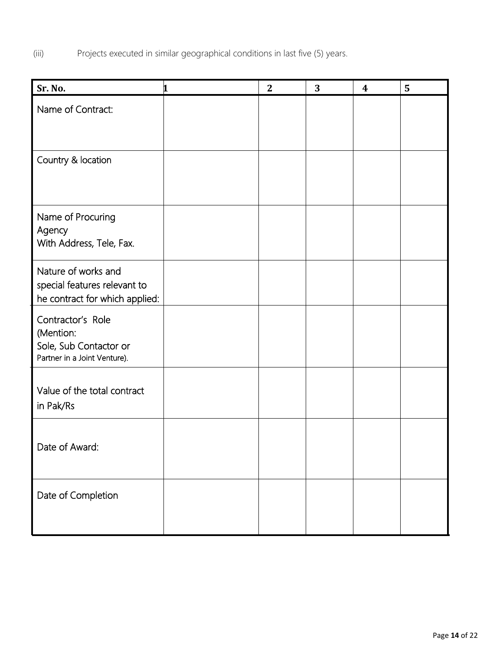(iii) Projects executed in similar geographical conditions in last five (5) years.

| Sr. No.                                                                                  | 1 | $\mathbf{2}$ | 3 | $\boldsymbol{4}$ | 5 |
|------------------------------------------------------------------------------------------|---|--------------|---|------------------|---|
| Name of Contract:                                                                        |   |              |   |                  |   |
| Country & location                                                                       |   |              |   |                  |   |
| Name of Procuring<br>Agency<br>With Address, Tele, Fax.                                  |   |              |   |                  |   |
| Nature of works and<br>special features relevant to<br>he contract for which applied:    |   |              |   |                  |   |
| Contractor's Role<br>(Mention:<br>Sole, Sub Contactor or<br>Partner in a Joint Venture). |   |              |   |                  |   |
| Value of the total contract<br>in Pak/Rs                                                 |   |              |   |                  |   |
| Date of Award:                                                                           |   |              |   |                  |   |
| Date of Completion                                                                       |   |              |   |                  |   |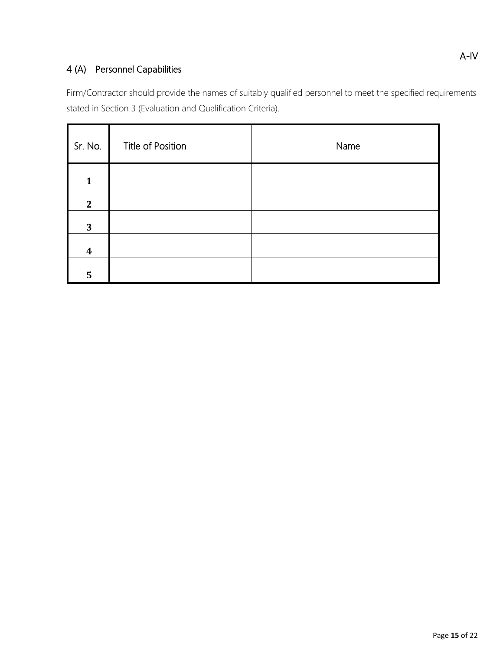## 4 (A) Personnel Capabilities

Firm/Contractor should provide the names of suitably qualified personnel to meet the specified requirements stated in Section 3 (Evaluation and Qualification Criteria).

| Sr. No.          | Title of Position | Name |
|------------------|-------------------|------|
| $\mathbf{1}$     |                   |      |
| $\mathbf{2}$     |                   |      |
| 3                |                   |      |
| $\boldsymbol{4}$ |                   |      |
| 5                |                   |      |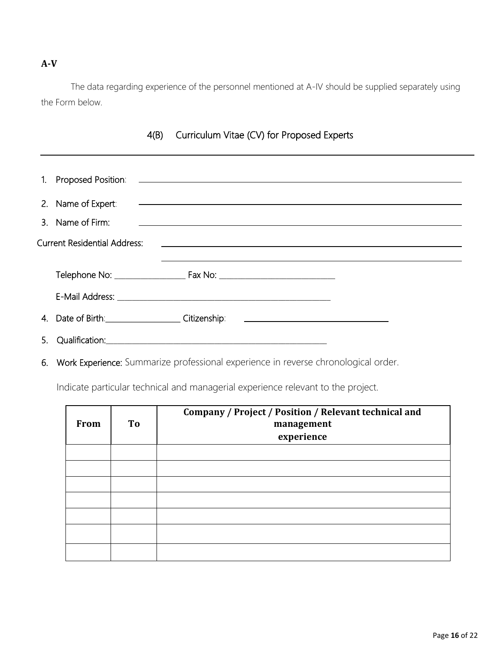#### **A-V**

The data regarding experience of the personnel mentioned at A-IV should be supplied separately using the Form below.

| 1. | Proposed Position:                                                                                                                                                                                                             | <u> 1989 - Andrea Stadt, fransk politik (d. 1989)</u>              |  |
|----|--------------------------------------------------------------------------------------------------------------------------------------------------------------------------------------------------------------------------------|--------------------------------------------------------------------|--|
|    | 2. Name of Expert:                                                                                                                                                                                                             |                                                                    |  |
|    | 3. Name of Firm:                                                                                                                                                                                                               |                                                                    |  |
|    | <b>Current Residential Address:</b>                                                                                                                                                                                            | <u> 1980 - Andrea Stadt Britain, amerikansk politik (d. 1980)</u>  |  |
|    |                                                                                                                                                                                                                                |                                                                    |  |
|    |                                                                                                                                                                                                                                |                                                                    |  |
|    |                                                                                                                                                                                                                                |                                                                    |  |
|    | 4. Date of Birth: Citizenship:                                                                                                                                                                                                 | <u> 1989 - Andrea Station Barbara, amerikan personal (h. 1989)</u> |  |
| 5. | Qualification: Note that the state of the state of the state of the state of the state of the state of the state of the state of the state of the state of the state of the state of the state of the state of the state of th |                                                                    |  |
|    |                                                                                                                                                                                                                                |                                                                    |  |

#### 4(B) Curriculum Vitae (CV) for Proposed Experts

6. Work Experience: Summarize professional experience in reverse chronological order.

Indicate particular technical and managerial experience relevant to the project.

| <b>From</b> | To | Company / Project / Position / Relevant technical and<br>management<br>experience |
|-------------|----|-----------------------------------------------------------------------------------|
|             |    |                                                                                   |
|             |    |                                                                                   |
|             |    |                                                                                   |
|             |    |                                                                                   |
|             |    |                                                                                   |
|             |    |                                                                                   |
|             |    |                                                                                   |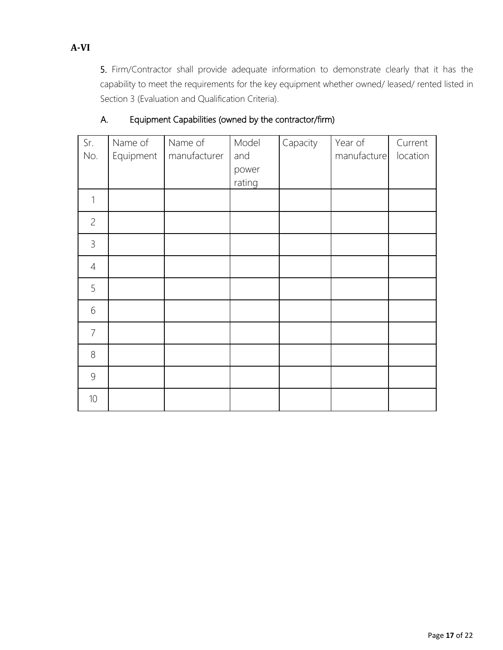5. Firm/Contractor shall provide adequate information to demonstrate clearly that it has the capability to meet the requirements for the key equipment whether owned/ leased/ rented listed in Section 3 (Evaluation and Qualification Criteria).

| Sr.<br>No.     | Name of<br>Equipment | Name of<br>manufacturer | Model<br>and<br>power<br>rating | Capacity | Year of<br>manufacture | Current<br>location |
|----------------|----------------------|-------------------------|---------------------------------|----------|------------------------|---------------------|
| 1              |                      |                         |                                 |          |                        |                     |
| $\overline{c}$ |                      |                         |                                 |          |                        |                     |
| $\mathfrak{Z}$ |                      |                         |                                 |          |                        |                     |
| $\overline{4}$ |                      |                         |                                 |          |                        |                     |
| 5              |                      |                         |                                 |          |                        |                     |
| 6              |                      |                         |                                 |          |                        |                     |
| $\overline{7}$ |                      |                         |                                 |          |                        |                     |
| $8\,$          |                      |                         |                                 |          |                        |                     |
| 9              |                      |                         |                                 |          |                        |                     |
| 10             |                      |                         |                                 |          |                        |                     |

#### A. Equipment Capabilities (owned by the contractor/firm)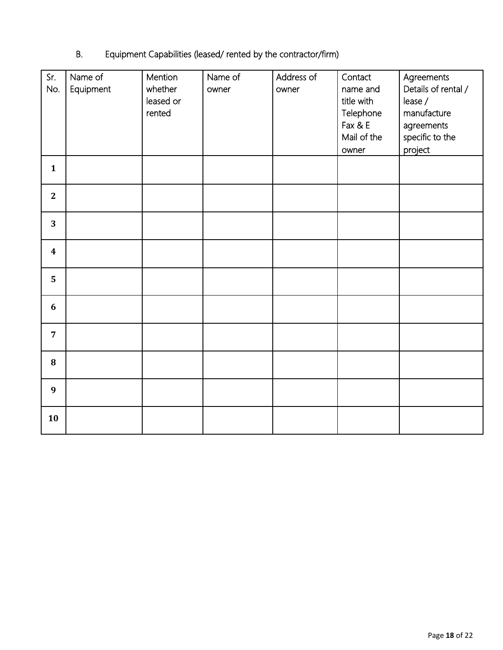## B. Equipment Capabilities (leased/ rented by the contractor/firm)

| Sr.<br>No.       | Name of<br>Equipment | Mention<br>whether<br>leased or<br>rented | Name of<br>owner | Address of<br>owner | Contact<br>name and<br>title with<br>Telephone<br>Fax & E<br>Mail of the<br>owner | Agreements<br>Details of rental /<br>lease /<br>manufacture<br>agreements<br>specific to the<br>project |
|------------------|----------------------|-------------------------------------------|------------------|---------------------|-----------------------------------------------------------------------------------|---------------------------------------------------------------------------------------------------------|
| $\mathbf{1}$     |                      |                                           |                  |                     |                                                                                   |                                                                                                         |
| $\mathbf{2}$     |                      |                                           |                  |                     |                                                                                   |                                                                                                         |
| 3                |                      |                                           |                  |                     |                                                                                   |                                                                                                         |
| $\boldsymbol{4}$ |                      |                                           |                  |                     |                                                                                   |                                                                                                         |
| 5                |                      |                                           |                  |                     |                                                                                   |                                                                                                         |
| 6                |                      |                                           |                  |                     |                                                                                   |                                                                                                         |
| $\overline{7}$   |                      |                                           |                  |                     |                                                                                   |                                                                                                         |
| 8                |                      |                                           |                  |                     |                                                                                   |                                                                                                         |
| $\boldsymbol{9}$ |                      |                                           |                  |                     |                                                                                   |                                                                                                         |
| 10               |                      |                                           |                  |                     |                                                                                   |                                                                                                         |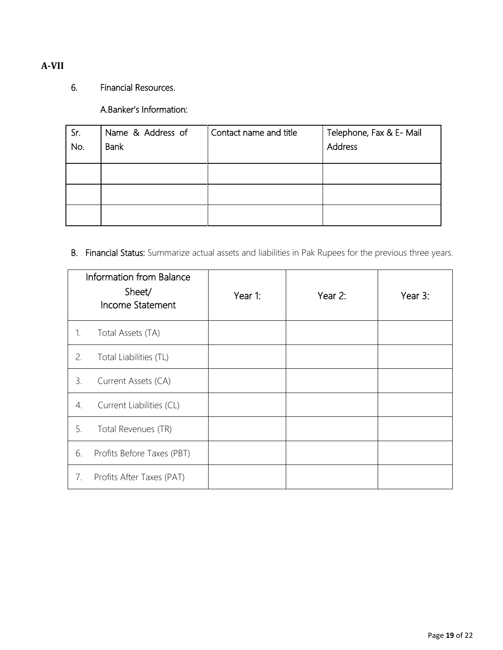#### **A-VII**

### 6. Financial Resources.

A.Banker's Information:

| Sr. | Name & Address of | Contact name and title | Telephone, Fax & E- Mail |
|-----|-------------------|------------------------|--------------------------|
| No. | <b>Bank</b>       |                        | Address                  |
|     |                   |                        |                          |
|     |                   |                        |                          |
|     |                   |                        |                          |
|     |                   |                        |                          |
|     |                   |                        |                          |
|     |                   |                        |                          |
|     |                   |                        |                          |

B. Financial Status: Summarize actual assets and liabilities in Pak Rupees for the previous three years.

|    | Information from Balance<br>Sheet/<br>Income Statement | Year 1: | Year 2: | Year 3: |
|----|--------------------------------------------------------|---------|---------|---------|
| 1. | Total Assets (TA)                                      |         |         |         |
| 2. | Total Liabilities (TL)                                 |         |         |         |
| 3. | Current Assets (CA)                                    |         |         |         |
| 4. | Current Liabilities (CL)                               |         |         |         |
| 5. | Total Revenues (TR)                                    |         |         |         |
| 6. | Profits Before Taxes (PBT)                             |         |         |         |
| 7. | Profits After Taxes (PAT)                              |         |         |         |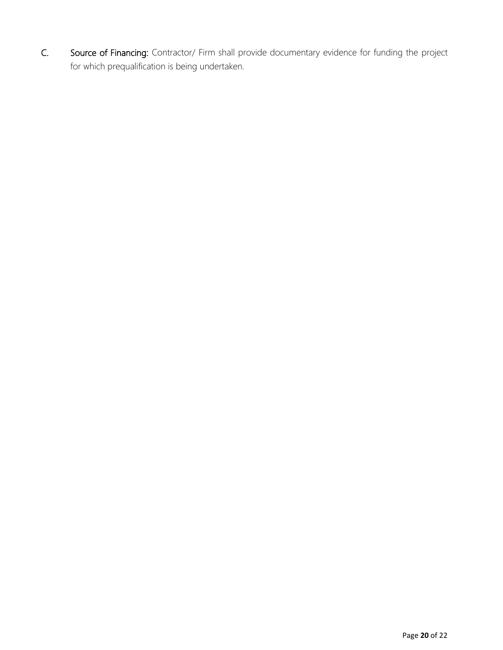C. Source of Financing: Contractor/ Firm shall provide documentary evidence for funding the project for which prequalification is being undertaken.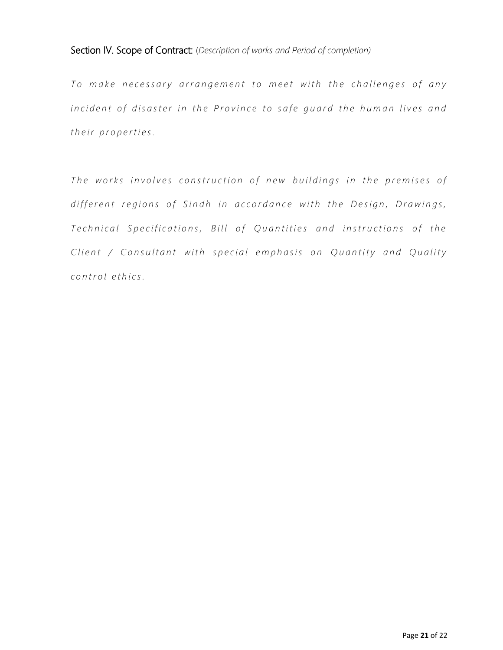#### Section IV. Scope of Contract: (*Description of works and Period of completion)*

To make necessary arrangement to meet with the challenges of any *incident of disaster in the Province to safe quard the human lives and their properties.* 

*The works involves construction of new buildings in the premises of* different regions of Sindh in accordance with the Design, Drawings, *Technical Specifications, Bill of Quantities and instructions of the Client / Consultant with special emphasis on Quantity and Quality c o n t r o l e t h i c s .*